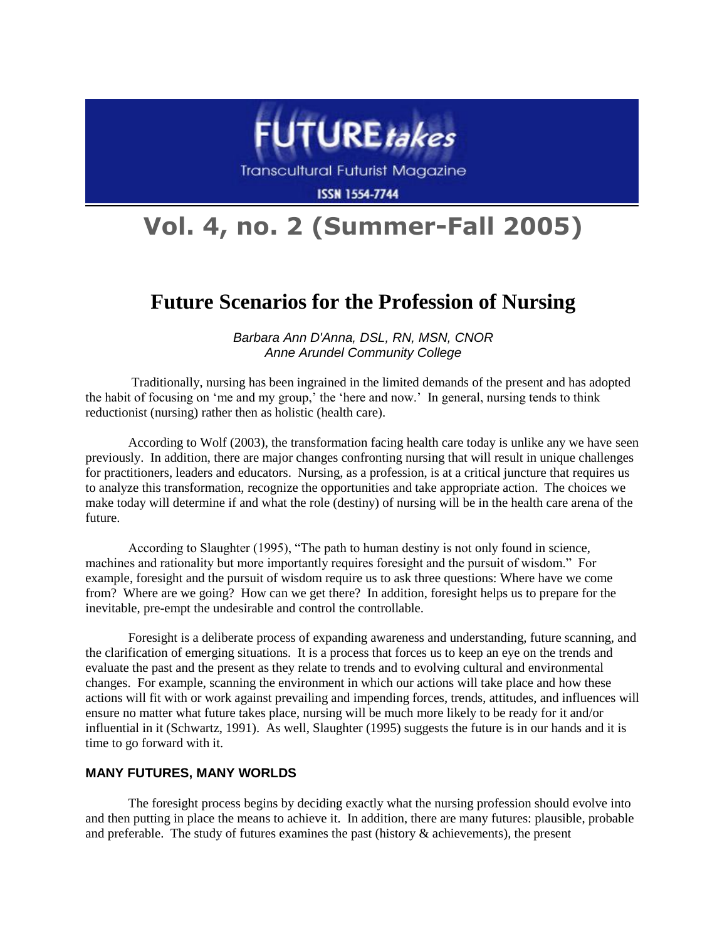

**Transcultural Futurist Magazine** 

**ISSN 1554-7744** 

# **Vol. 4, no. 2 (Summer-Fall 2005)**

## **Future Scenarios for the Profession of Nursing**

*Barbara Ann D'Anna, DSL, RN, MSN, CNOR Anne Arundel Community College*

Traditionally, nursing has been ingrained in the limited demands of the present and has adopted the habit of focusing on 'me and my group,' the 'here and now.' In general, nursing tends to think reductionist (nursing) rather then as holistic (health care).

According to Wolf (2003), the transformation facing health care today is unlike any we have seen previously. In addition, there are major changes confronting nursing that will result in unique challenges for practitioners, leaders and educators. Nursing, as a profession, is at a critical juncture that requires us to analyze this transformation, recognize the opportunities and take appropriate action. The choices we make today will determine if and what the role (destiny) of nursing will be in the health care arena of the future.

According to Slaughter (1995), "The path to human destiny is not only found in science, machines and rationality but more importantly requires foresight and the pursuit of wisdom." For example, foresight and the pursuit of wisdom require us to ask three questions: Where have we come from? Where are we going? How can we get there? In addition, foresight helps us to prepare for the inevitable, pre-empt the undesirable and control the controllable.

Foresight is a deliberate process of expanding awareness and understanding, future scanning, and the clarification of emerging situations. It is a process that forces us to keep an eye on the trends and evaluate the past and the present as they relate to trends and to evolving cultural and environmental changes. For example, scanning the environment in which our actions will take place and how these actions will fit with or work against prevailing and impending forces, trends, attitudes, and influences will ensure no matter what future takes place, nursing will be much more likely to be ready for it and/or influential in it (Schwartz, 1991). As well, Slaughter (1995) suggests the future is in our hands and it is time to go forward with it.

#### **MANY FUTURES, MANY WORLDS**

The foresight process begins by deciding exactly what the nursing profession should evolve into and then putting in place the means to achieve it. In addition, there are many futures: plausible, probable and preferable. The study of futures examines the past (history  $\&$  achievements), the present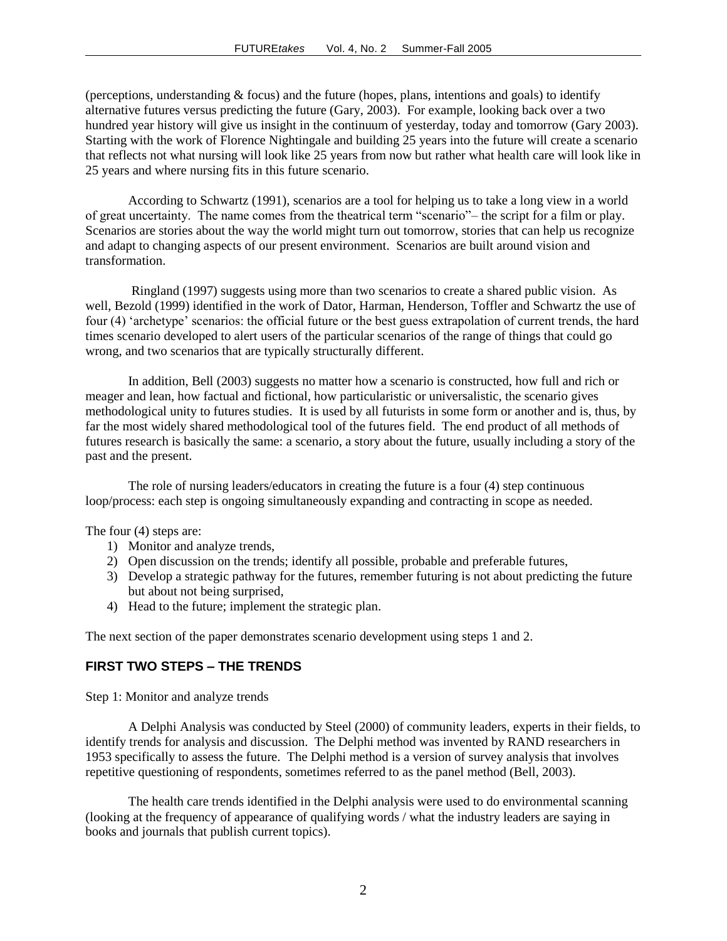(perceptions, understanding  $&$  focus) and the future (hopes, plans, intentions and goals) to identify alternative futures versus predicting the future (Gary, 2003). For example, looking back over a two hundred year history will give us insight in the continuum of yesterday, today and tomorrow (Gary 2003). Starting with the work of Florence Nightingale and building 25 years into the future will create a scenario that reflects not what nursing will look like 25 years from now but rather what health care will look like in 25 years and where nursing fits in this future scenario.

According to Schwartz (1991), scenarios are a tool for helping us to take a long view in a world of great uncertainty. The name comes from the theatrical term "scenario"– the script for a film or play. Scenarios are stories about the way the world might turn out tomorrow, stories that can help us recognize and adapt to changing aspects of our present environment. Scenarios are built around vision and transformation.

Ringland (1997) suggests using more than two scenarios to create a shared public vision. As well, Bezold (1999) identified in the work of Dator, Harman, Henderson, Toffler and Schwartz the use of four (4) "archetype" scenarios: the official future or the best guess extrapolation of current trends, the hard times scenario developed to alert users of the particular scenarios of the range of things that could go wrong, and two scenarios that are typically structurally different.

In addition, Bell (2003) suggests no matter how a scenario is constructed, how full and rich or meager and lean, how factual and fictional, how particularistic or universalistic, the scenario gives methodological unity to futures studies. It is used by all futurists in some form or another and is, thus, by far the most widely shared methodological tool of the futures field. The end product of all methods of futures research is basically the same: a scenario, a story about the future, usually including a story of the past and the present.

The role of nursing leaders/educators in creating the future is a four (4) step continuous loop/process: each step is ongoing simultaneously expanding and contracting in scope as needed.

The four (4) steps are:

- 1) Monitor and analyze trends,
- 2) Open discussion on the trends; identify all possible, probable and preferable futures,
- 3) Develop a strategic pathway for the futures, remember futuring is not about predicting the future but about not being surprised,
- 4) Head to the future; implement the strategic plan.

The next section of the paper demonstrates scenario development using steps 1 and 2.

#### **FIRST TWO STEPS – THE TRENDS**

Step 1: Monitor and analyze trends

A Delphi Analysis was conducted by Steel (2000) of community leaders, experts in their fields, to identify trends for analysis and discussion. The Delphi method was invented by RAND researchers in 1953 specifically to assess the future. The Delphi method is a version of survey analysis that involves repetitive questioning of respondents, sometimes referred to as the panel method (Bell, 2003).

The health care trends identified in the Delphi analysis were used to do environmental scanning (looking at the frequency of appearance of qualifying words / what the industry leaders are saying in books and journals that publish current topics).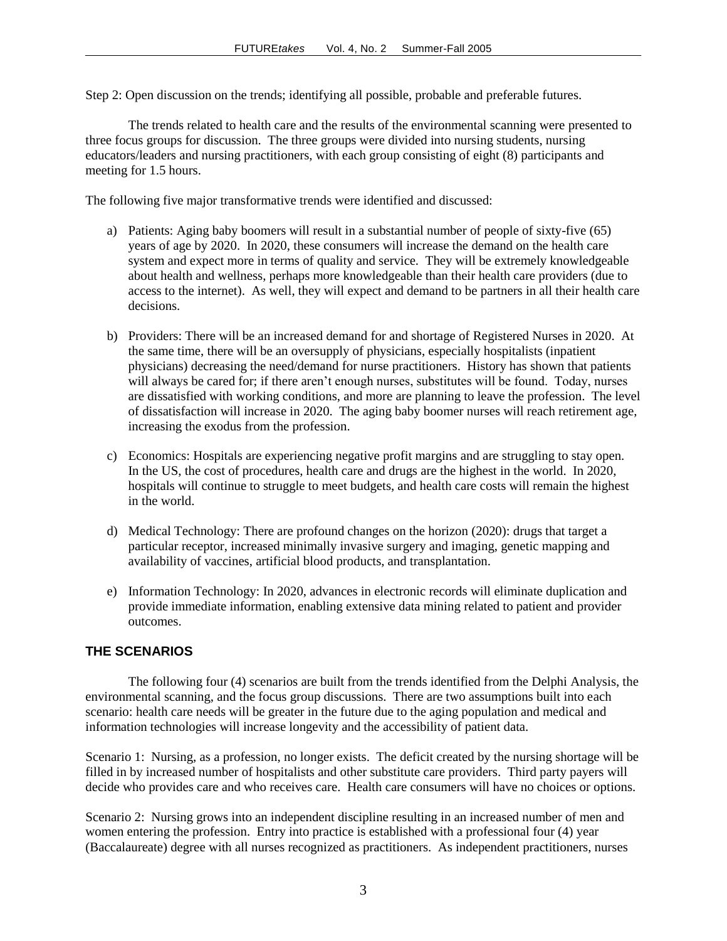Step 2: Open discussion on the trends; identifying all possible, probable and preferable futures.

The trends related to health care and the results of the environmental scanning were presented to three focus groups for discussion. The three groups were divided into nursing students, nursing educators/leaders and nursing practitioners, with each group consisting of eight (8) participants and meeting for 1.5 hours.

The following five major transformative trends were identified and discussed:

- a) Patients: Aging baby boomers will result in a substantial number of people of sixty-five (65) years of age by 2020. In 2020, these consumers will increase the demand on the health care system and expect more in terms of quality and service. They will be extremely knowledgeable about health and wellness, perhaps more knowledgeable than their health care providers (due to access to the internet). As well, they will expect and demand to be partners in all their health care decisions.
- b) Providers: There will be an increased demand for and shortage of Registered Nurses in 2020. At the same time, there will be an oversupply of physicians, especially hospitalists (inpatient physicians) decreasing the need/demand for nurse practitioners. History has shown that patients will always be cared for; if there aren't enough nurses, substitutes will be found. Today, nurses are dissatisfied with working conditions, and more are planning to leave the profession. The level of dissatisfaction will increase in 2020. The aging baby boomer nurses will reach retirement age, increasing the exodus from the profession.
- c) Economics: Hospitals are experiencing negative profit margins and are struggling to stay open. In the US, the cost of procedures, health care and drugs are the highest in the world. In 2020, hospitals will continue to struggle to meet budgets, and health care costs will remain the highest in the world.
- d) Medical Technology: There are profound changes on the horizon (2020): drugs that target a particular receptor, increased minimally invasive surgery and imaging, genetic mapping and availability of vaccines, artificial blood products, and transplantation.
- e) Information Technology: In 2020, advances in electronic records will eliminate duplication and provide immediate information, enabling extensive data mining related to patient and provider outcomes.

### **THE SCENARIOS**

The following four (4) scenarios are built from the trends identified from the Delphi Analysis, the environmental scanning, and the focus group discussions. There are two assumptions built into each scenario: health care needs will be greater in the future due to the aging population and medical and information technologies will increase longevity and the accessibility of patient data.

Scenario 1: Nursing, as a profession, no longer exists. The deficit created by the nursing shortage will be filled in by increased number of hospitalists and other substitute care providers. Third party payers will decide who provides care and who receives care. Health care consumers will have no choices or options.

Scenario 2: Nursing grows into an independent discipline resulting in an increased number of men and women entering the profession. Entry into practice is established with a professional four (4) year (Baccalaureate) degree with all nurses recognized as practitioners. As independent practitioners, nurses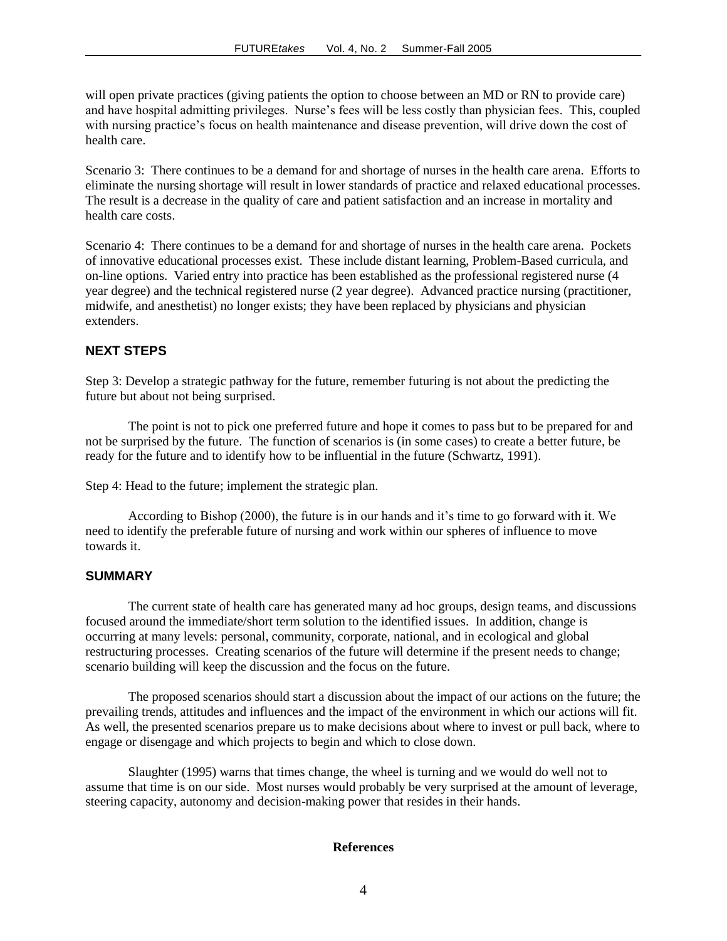will open private practices (giving patients the option to choose between an MD or RN to provide care) and have hospital admitting privileges. Nurse"s fees will be less costly than physician fees. This, coupled with nursing practice's focus on health maintenance and disease prevention, will drive down the cost of health care.

Scenario 3: There continues to be a demand for and shortage of nurses in the health care arena. Efforts to eliminate the nursing shortage will result in lower standards of practice and relaxed educational processes. The result is a decrease in the quality of care and patient satisfaction and an increase in mortality and health care costs.

Scenario 4: There continues to be a demand for and shortage of nurses in the health care arena. Pockets of innovative educational processes exist. These include distant learning, Problem-Based curricula, and on-line options. Varied entry into practice has been established as the professional registered nurse (4 year degree) and the technical registered nurse (2 year degree). Advanced practice nursing (practitioner, midwife, and anesthetist) no longer exists; they have been replaced by physicians and physician extenders.

#### **NEXT STEPS**

Step 3: Develop a strategic pathway for the future, remember futuring is not about the predicting the future but about not being surprised.

The point is not to pick one preferred future and hope it comes to pass but to be prepared for and not be surprised by the future. The function of scenarios is (in some cases) to create a better future, be ready for the future and to identify how to be influential in the future (Schwartz, 1991).

Step 4: Head to the future; implement the strategic plan.

According to Bishop (2000), the future is in our hands and it's time to go forward with it. We need to identify the preferable future of nursing and work within our spheres of influence to move towards it.

#### **SUMMARY**

The current state of health care has generated many ad hoc groups, design teams, and discussions focused around the immediate/short term solution to the identified issues. In addition, change is occurring at many levels: personal, community, corporate, national, and in ecological and global restructuring processes. Creating scenarios of the future will determine if the present needs to change; scenario building will keep the discussion and the focus on the future.

The proposed scenarios should start a discussion about the impact of our actions on the future; the prevailing trends, attitudes and influences and the impact of the environment in which our actions will fit. As well, the presented scenarios prepare us to make decisions about where to invest or pull back, where to engage or disengage and which projects to begin and which to close down.

Slaughter (1995) warns that times change, the wheel is turning and we would do well not to assume that time is on our side. Most nurses would probably be very surprised at the amount of leverage, steering capacity, autonomy and decision-making power that resides in their hands.

#### **References**